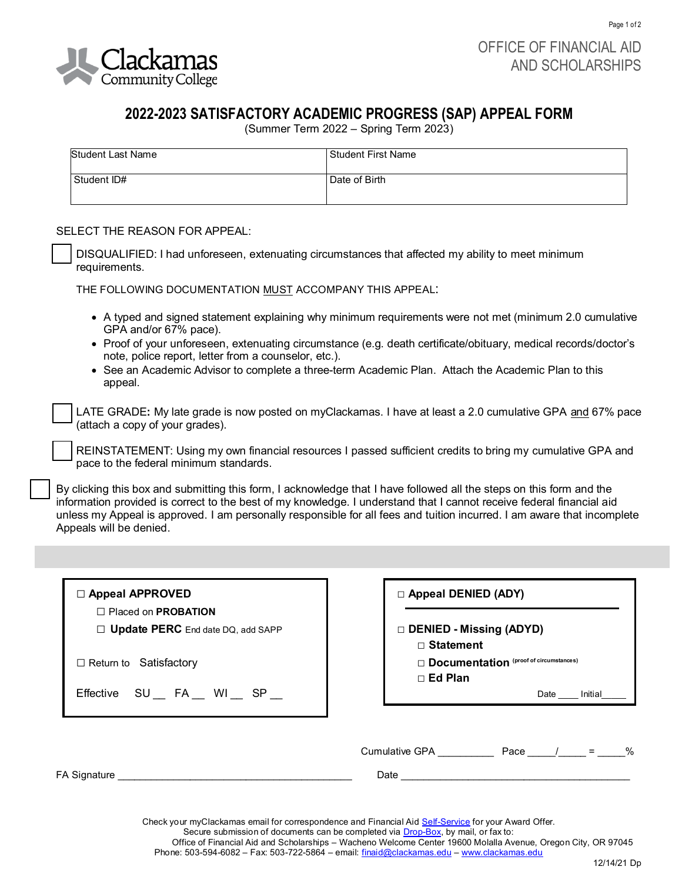

Page 1 of 2

## **2022-2023 SATISFACTORY ACADEMIC PROGRESS (SAP) APPEAL FORM**

(Summer Term 2022 – Spring Term 2023)

| Student Last Name | l Student First Name |
|-------------------|----------------------|
| Student ID#       | Date of Birth        |

## SELECT THE REASON FOR APPEAL:

❑ DISQUALIFIED: I had unforeseen, extenuating circumstances that affected my ability to meet minimum requirements.

THE FOLLOWING DOCUMENTATION MUST ACCOMPANY THIS APPEAL:

- A typed and signed statement explaining why minimum requirements were not met (minimum 2.0 cumulative GPA and/or 67% pace).
- Proof of your unforeseen, extenuating circumstance (e.g. death certificate/obituary, medical records/doctor's note, police report, letter from a counselor, etc.).
- See an Academic Advisor to complete a three-term Academic Plan.Attach the Academic Plan to this appeal.

❑ LATE GRADE**:** My late grade is now posted on myClackamas. I have at least a 2.0 cumulative GPA and 67% pace (attach a copy of your grades).

REINSTATEMENT: Using my own financial resources I passed sufficient credits to bring my cumulative GPA and pace to the federal minimum standards.

By clicking this box and submitting this form, I acknowledge that I have followed all the steps on this form and the information provided is correct to the best of my knowledge. I understand that I cannot receive federal financial aid unless my Appeal is approved. I am personally responsible for all fees and tuition incurred. I am aware that incomplete Appeals will be denied.

| $\Box$ Appeal APPROVED<br>□ Placed on PROBATION | <b>D</b> Appeal DENIED (ADY)                |  |
|-------------------------------------------------|---------------------------------------------|--|
| □ Update PERC End date DQ, add SAPP             | DENIED - Missing (ADYD)<br>$\Box$ Statement |  |
| $\Box$ Return to Satisfactory                   | Documentation (proof of circumstances)      |  |
| Effective SU FA WI SP                           | $\Box$ Ed Plan<br>Date Initial              |  |
| FA Signature                                    | Cumulative GPA<br>Pace / = $\%$<br>Date     |  |

Check your myClackamas email for correspondence and Financial Aid [Self-Service](https://selfservice.clackamas.edu/Student/) for your Award Offer.

Secure submission of documents can be completed via **Drop-Box**, by mail, or fax to:

Office of Financial Aid and Scholarships – Wacheno Welcome Center 19600 Molalla Avenue, Oregon City, OR 97045

Phone: 503-594-6082 – Fax: 503-722-5864 – email: [finaid@clackamas.edu –](mailto:finaid@clackamas.edu) [www.clackamas.edu](http://www.clackamas.edu/)